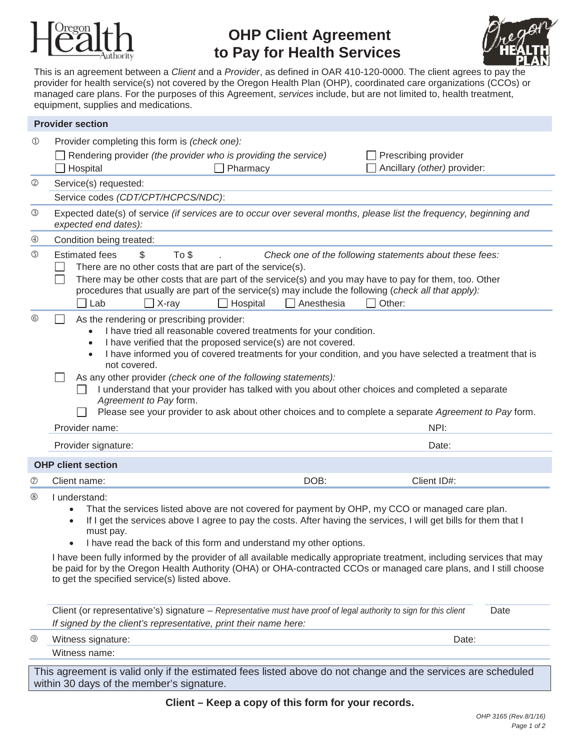

# **OHP Client Agreement to Pay for Health Services**



This is an agreement between a *Client* and a *Provider*, as defined in OAR 410-120-0000. The client agrees to pay the provider for health service(s) not covered by the Oregon Health Plan (OHP), coordinated care organizations (CCOs) or managed care plans. For the purposes of this Agreement, *services* include, but are not limited to, health treatment, equipment, supplies and medications.

| <b>Provider section</b>   |                                                                                                                                                                                                                                                                                                                                                                                                                                                                                                                                                                                                                                                |
|---------------------------|------------------------------------------------------------------------------------------------------------------------------------------------------------------------------------------------------------------------------------------------------------------------------------------------------------------------------------------------------------------------------------------------------------------------------------------------------------------------------------------------------------------------------------------------------------------------------------------------------------------------------------------------|
| $^{\circledR}$            | Provider completing this form is (check one):<br>Rendering provider (the provider who is providing the service)<br>Prescribing provider<br>Ancillary (other) provider:<br>Hospital<br>Pharmacy                                                                                                                                                                                                                                                                                                                                                                                                                                                 |
| $^{\circledR}$            | Service(s) requested:                                                                                                                                                                                                                                                                                                                                                                                                                                                                                                                                                                                                                          |
|                           | Service codes (CDT/CPT/HCPCS/NDC):                                                                                                                                                                                                                                                                                                                                                                                                                                                                                                                                                                                                             |
| ③                         | Expected date(s) of service (if services are to occur over several months, please list the frequency, beginning and<br>expected end dates):                                                                                                                                                                                                                                                                                                                                                                                                                                                                                                    |
| ⊕                         | Condition being treated:                                                                                                                                                                                                                                                                                                                                                                                                                                                                                                                                                                                                                       |
| $\circledS$               | <b>Estimated fees</b><br>To \$<br>\$<br>Check one of the following statements about these fees:<br>There are no other costs that are part of the service(s).<br>There may be other costs that are part of the service(s) and you may have to pay for them, too. Other<br>procedures that usually are part of the service(s) may include the following (check all that apply):<br>$\Box$ Hospital<br>$\Box$<br>Anesthesia<br>$\Box$ Other:<br><b>□ Lab</b><br>$\Box$ X-ray                                                                                                                                                                      |
| $\circledcirc$            | As the rendering or prescribing provider:<br>I have tried all reasonable covered treatments for your condition.<br>$\bullet$<br>I have verified that the proposed service(s) are not covered.<br>I have informed you of covered treatments for your condition, and you have selected a treatment that is<br>$\bullet$<br>not covered.<br>As any other provider (check one of the following statements):<br>I understand that your provider has talked with you about other choices and completed a separate<br>Agreement to Pay form.<br>Please see your provider to ask about other choices and to complete a separate Agreement to Pay form. |
|                           | NPI:<br>Provider name:                                                                                                                                                                                                                                                                                                                                                                                                                                                                                                                                                                                                                         |
|                           | Provider signature:<br>Date:                                                                                                                                                                                                                                                                                                                                                                                                                                                                                                                                                                                                                   |
| <b>OHP client section</b> |                                                                                                                                                                                                                                                                                                                                                                                                                                                                                                                                                                                                                                                |
| $^\circledR$              | DOB:<br>Client ID#:<br>Client name:                                                                                                                                                                                                                                                                                                                                                                                                                                                                                                                                                                                                            |
| $^{\circledR}$            | I understand:<br>That the services listed above are not covered for payment by OHP, my CCO or managed care plan.<br>If I get the services above I agree to pay the costs. After having the services, I will get bills for them that I<br>must pay.<br>I have read the back of this form and understand my other options.<br>I have been fully informed by the provider of all available medically appropriate treatment, including services that may<br>be paid for by the Oregon Health Authority (OHA) or OHA-contracted CCOs or managed care plans, and I still choose<br>to get the specified service(s) listed above.                     |
|                           | Client (or representative's) signature - Representative must have proof of legal authority to sign for this client<br>Date<br>If signed by the client's representative, print their name here:                                                                                                                                                                                                                                                                                                                                                                                                                                                 |
| $^{\circledR}$            | Date:<br>Witness signature:                                                                                                                                                                                                                                                                                                                                                                                                                                                                                                                                                                                                                    |
|                           | Witness name:                                                                                                                                                                                                                                                                                                                                                                                                                                                                                                                                                                                                                                  |

This agreement is valid only if the estimated fees listed above do not change and the services are scheduled within 30 days of the member's signature.